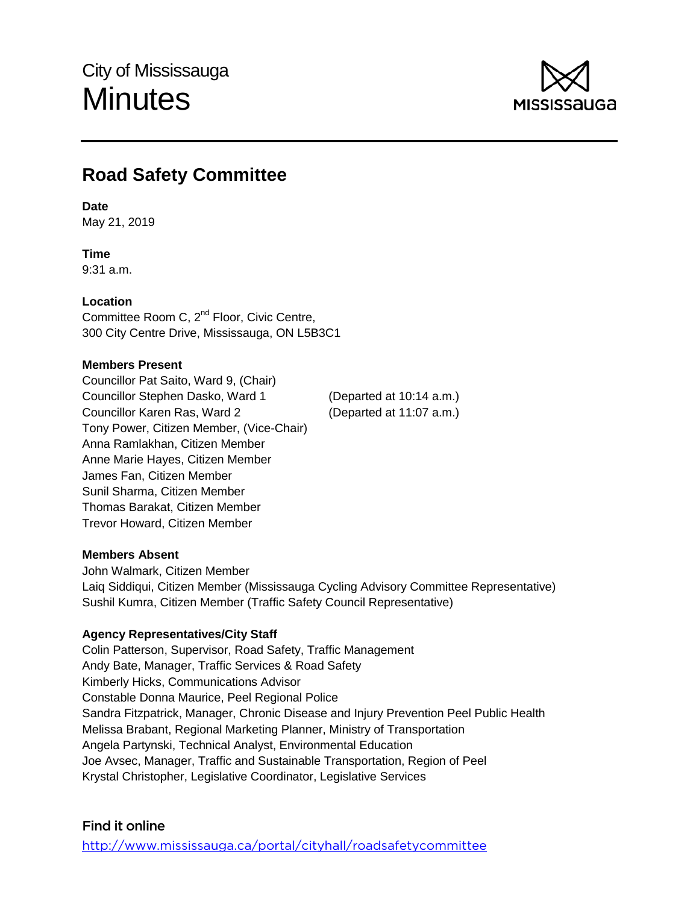

# **Road Safety Committee**

## **Date**

May 21, 2019

# **Time**

9:31 a.m.

## **Location**

Committee Room C, 2<sup>nd</sup> Floor, Civic Centre, 300 City Centre Drive, Mississauga, ON L5B3C1

## **Members Present**

Councillor Pat Saito, Ward 9, (Chair) Councillor Stephen Dasko, Ward 1 (Departed at 10:14 a.m.) Councillor Karen Ras, Ward 2 (Departed at 11:07 a.m.) Tony Power, Citizen Member, (Vice-Chair) Anna Ramlakhan, Citizen Member Anne Marie Hayes, Citizen Member James Fan, Citizen Member Sunil Sharma, Citizen Member Thomas Barakat, Citizen Member Trevor Howard, Citizen Member

## **Members Absent**

John Walmark, Citizen Member Laiq Siddiqui, Citizen Member (Mississauga Cycling Advisory Committee Representative) Sushil Kumra, Citizen Member (Traffic Safety Council Representative)

## **Agency Representatives/City Staff**

Colin Patterson, Supervisor, Road Safety, Traffic Management Andy Bate, Manager, Traffic Services & Road Safety Kimberly Hicks, Communications Advisor Constable Donna Maurice, Peel Regional Police Sandra Fitzpatrick, Manager, Chronic Disease and Injury Prevention Peel Public Health Melissa Brabant, Regional Marketing Planner, Ministry of Transportation Angela Partynski, Technical Analyst, Environmental Education Joe Avsec, Manager, Traffic and Sustainable Transportation, Region of Peel Krystal Christopher, Legislative Coordinator, Legislative Services

# Find it online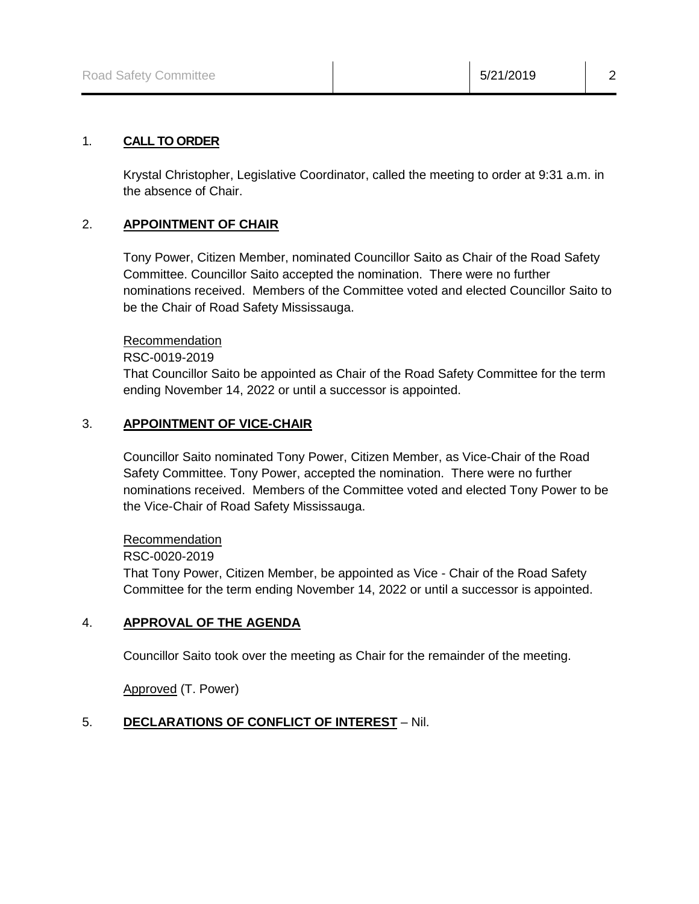#### 1. **CALL TO ORDER**

Krystal Christopher, Legislative Coordinator, called the meeting to order at 9:31 a.m. in the absence of Chair.

#### 2. **APPOINTMENT OF CHAIR**

Tony Power, Citizen Member, nominated Councillor Saito as Chair of the Road Safety Committee. Councillor Saito accepted the nomination. There were no further nominations received. Members of the Committee voted and elected Councillor Saito to be the Chair of Road Safety Mississauga.

#### Recommendation

RSC-0019-2019

That Councillor Saito be appointed as Chair of the Road Safety Committee for the term ending November 14, 2022 or until a successor is appointed.

## 3. **APPOINTMENT OF VICE-CHAIR**

Councillor Saito nominated Tony Power, Citizen Member, as Vice-Chair of the Road Safety Committee. Tony Power, accepted the nomination. There were no further nominations received. Members of the Committee voted and elected Tony Power to be the Vice-Chair of Road Safety Mississauga.

#### Recommendation

#### RSC-0020-2019

That Tony Power, Citizen Member, be appointed as Vice - Chair of the Road Safety Committee for the term ending November 14, 2022 or until a successor is appointed.

#### 4. **APPROVAL OF THE AGENDA**

Councillor Saito took over the meeting as Chair for the remainder of the meeting.

Approved (T. Power)

## 5. **DECLARATIONS OF CONFLICT OF INTEREST** – Nil.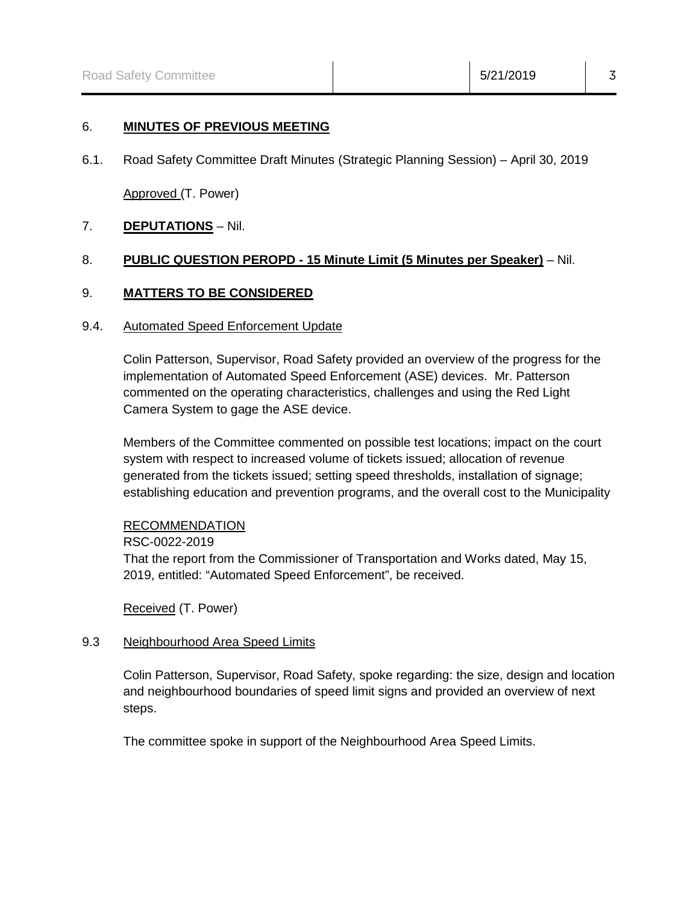#### 6. **MINUTES OF PREVIOUS MEETING**

6.1. Road Safety Committee Draft Minutes (Strategic Planning Session) – April 30, 2019

Approved (T. Power)

## 7. **DEPUTATIONS** – Nil.

## 8. **PUBLIC QUESTION PEROPD - 15 Minute Limit (5 Minutes per Speaker)** – Nil.

#### 9. **MATTERS TO BE CONSIDERED**

#### 9.4. Automated Speed Enforcement Update

Colin Patterson, Supervisor, Road Safety provided an overview of the progress for the implementation of Automated Speed Enforcement (ASE) devices. Mr. Patterson commented on the operating characteristics, challenges and using the Red Light Camera System to gage the ASE device.

Members of the Committee commented on possible test locations; impact on the court system with respect to increased volume of tickets issued; allocation of revenue generated from the tickets issued; setting speed thresholds, installation of signage; establishing education and prevention programs, and the overall cost to the Municipality

#### RECOMMENDATION

RSC-0022-2019 That the report from the Commissioner of Transportation and Works dated, May 15, 2019, entitled: "Automated Speed Enforcement", be received.

Received (T. Power)

#### 9.3 Neighbourhood Area Speed Limits

Colin Patterson, Supervisor, Road Safety, spoke regarding: the size, design and location and neighbourhood boundaries of speed limit signs and provided an overview of next steps.

The committee spoke in support of the Neighbourhood Area Speed Limits.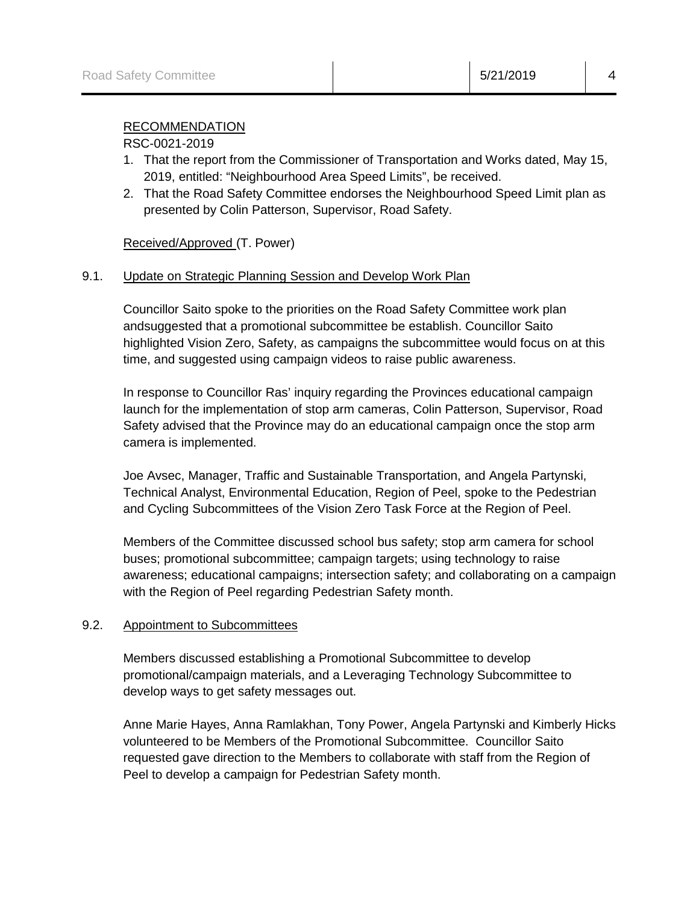## RECOMMENDATION

#### RSC-0021-2019

- 1. That the report from the Commissioner of Transportation and Works dated, May 15, 2019, entitled: "Neighbourhood Area Speed Limits", be received.
- 2. That the Road Safety Committee endorses the Neighbourhood Speed Limit plan as presented by Colin Patterson, Supervisor, Road Safety.

## Received/Approved (T. Power)

## 9.1. Update on Strategic Planning Session and Develop Work Plan

Councillor Saito spoke to the priorities on the Road Safety Committee work plan andsuggested that a promotional subcommittee be establish. Councillor Saito highlighted Vision Zero, Safety, as campaigns the subcommittee would focus on at this time, and suggested using campaign videos to raise public awareness.

In response to Councillor Ras' inquiry regarding the Provinces educational campaign launch for the implementation of stop arm cameras, Colin Patterson, Supervisor, Road Safety advised that the Province may do an educational campaign once the stop arm camera is implemented.

Joe Avsec, Manager, Traffic and Sustainable Transportation, and Angela Partynski, Technical Analyst, Environmental Education, Region of Peel, spoke to the Pedestrian and Cycling Subcommittees of the Vision Zero Task Force at the Region of Peel.

Members of the Committee discussed school bus safety; stop arm camera for school buses; promotional subcommittee; campaign targets; using technology to raise awareness; educational campaigns; intersection safety; and collaborating on a campaign with the Region of Peel regarding Pedestrian Safety month.

#### 9.2. Appointment to Subcommittees

Members discussed establishing a Promotional Subcommittee to develop promotional/campaign materials, and a Leveraging Technology Subcommittee to develop ways to get safety messages out.

Anne Marie Hayes, Anna Ramlakhan, Tony Power, Angela Partynski and Kimberly Hicks volunteered to be Members of the Promotional Subcommittee. Councillor Saito requested gave direction to the Members to collaborate with staff from the Region of Peel to develop a campaign for Pedestrian Safety month.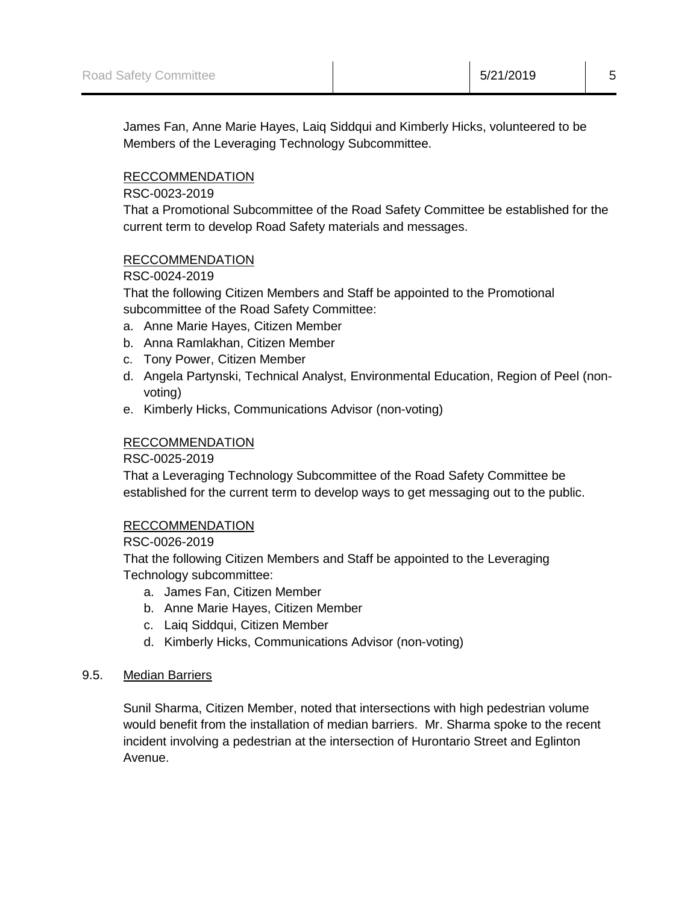James Fan, Anne Marie Hayes, Laiq Siddqui and Kimberly Hicks, volunteered to be Members of the Leveraging Technology Subcommittee.

## RECCOMMENDATION

RSC-0023-2019

That a Promotional Subcommittee of the Road Safety Committee be established for the current term to develop Road Safety materials and messages.

## RECCOMMENDATION

RSC-0024-2019

That the following Citizen Members and Staff be appointed to the Promotional subcommittee of the Road Safety Committee:

- a. Anne Marie Hayes, Citizen Member
- b. Anna Ramlakhan, Citizen Member
- c. Tony Power, Citizen Member
- d. Angela Partynski, Technical Analyst, Environmental Education, Region of Peel (nonvoting)
- e. Kimberly Hicks, Communications Advisor (non-voting)

## RECCOMMENDATION

RSC-0025-2019

That a Leveraging Technology Subcommittee of the Road Safety Committee be established for the current term to develop ways to get messaging out to the public.

## RECCOMMENDATION

RSC-0026-2019

That the following Citizen Members and Staff be appointed to the Leveraging Technology subcommittee:

- a. James Fan, Citizen Member
- b. Anne Marie Hayes, Citizen Member
- c. Laiq Siddqui, Citizen Member
- d. Kimberly Hicks, Communications Advisor (non-voting)

## 9.5. Median Barriers

Sunil Sharma, Citizen Member, noted that intersections with high pedestrian volume would benefit from the installation of median barriers. Mr. Sharma spoke to the recent incident involving a pedestrian at the intersection of Hurontario Street and Eglinton Avenue.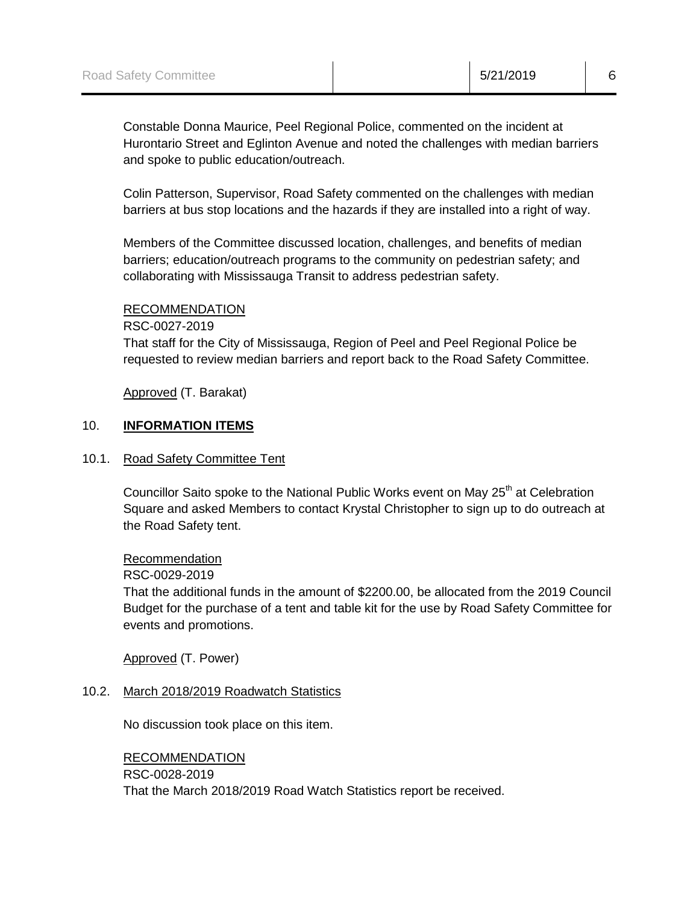Constable Donna Maurice, Peel Regional Police, commented on the incident at Hurontario Street and Eglinton Avenue and noted the challenges with median barriers and spoke to public education/outreach.

Colin Patterson, Supervisor, Road Safety commented on the challenges with median barriers at bus stop locations and the hazards if they are installed into a right of way.

Members of the Committee discussed location, challenges, and benefits of median barriers; education/outreach programs to the community on pedestrian safety; and collaborating with Mississauga Transit to address pedestrian safety.

## RECOMMENDATION

RSC-0027-2019

That staff for the City of Mississauga, Region of Peel and Peel Regional Police be requested to review median barriers and report back to the Road Safety Committee.

Approved (T. Barakat)

## 10. **INFORMATION ITEMS**

## 10.1. Road Safety Committee Tent

Councillor Saito spoke to the National Public Works event on May  $25<sup>th</sup>$  at Celebration Square and asked Members to contact Krystal Christopher to sign up to do outreach at the Road Safety tent.

#### Recommendation

#### RSC-0029-2019

That the additional funds in the amount of \$2200.00, be allocated from the 2019 Council Budget for the purchase of a tent and table kit for the use by Road Safety Committee for events and promotions.

Approved (T. Power)

## 10.2. March 2018/2019 Roadwatch Statistics

No discussion took place on this item.

# RECOMMENDATION RSC-0028-2019 That the March 2018/2019 Road Watch Statistics report be received.